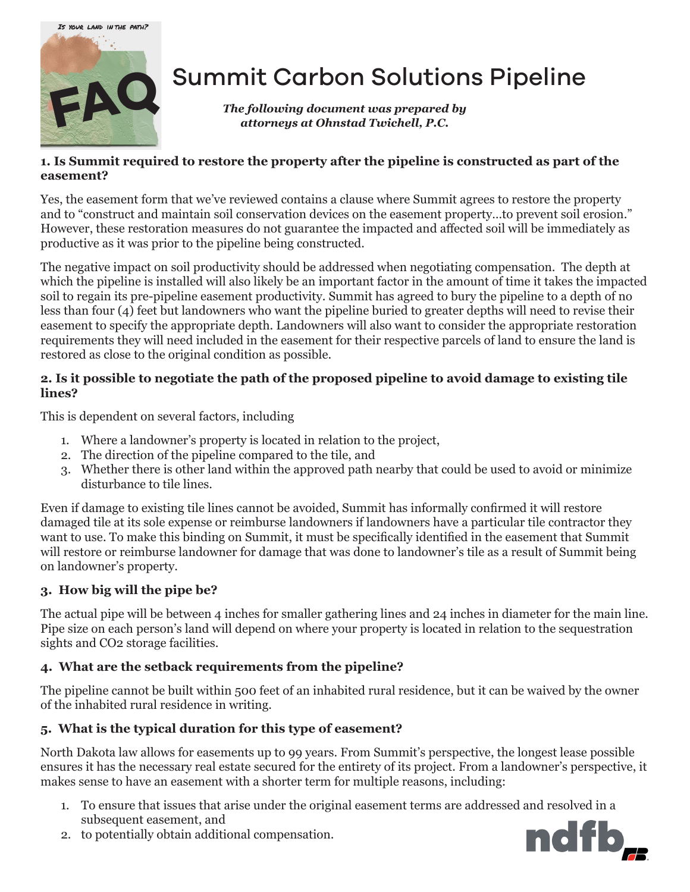

# Summit Carbon Solutions Pipeline

*The following document was prepared by attorneys at Ohnstad Twichell, P.C.*

## **1. Is Summit required to restore the property after the pipeline is constructed as part of the easement?**

Yes, the easement form that we've reviewed contains a clause where Summit agrees to restore the property and to "construct and maintain soil conservation devices on the easement property…to prevent soil erosion." However, these restoration measures do not guarantee the impacted and affected soil will be immediately as productive as it was prior to the pipeline being constructed.

The negative impact on soil productivity should be addressed when negotiating compensation. The depth at which the pipeline is installed will also likely be an important factor in the amount of time it takes the impacted soil to regain its pre-pipeline easement productivity. Summit has agreed to bury the pipeline to a depth of no less than four (4) feet but landowners who want the pipeline buried to greater depths will need to revise their easement to specify the appropriate depth. Landowners will also want to consider the appropriate restoration requirements they will need included in the easement for their respective parcels of land to ensure the land is restored as close to the original condition as possible.

## **2. Is it possible to negotiate the path of the proposed pipeline to avoid damage to existing tile lines?**

This is dependent on several factors, including

- 1. Where a landowner's property is located in relation to the project,
- 2. The direction of the pipeline compared to the tile, and
- 3. Whether there is other land within the approved path nearby that could be used to avoid or minimize disturbance to tile lines.

Even if damage to existing tile lines cannot be avoided, Summit has informally confirmed it will restore damaged tile at its sole expense or reimburse landowners if landowners have a particular tile contractor they want to use. To make this binding on Summit, it must be specifically identified in the easement that Summit will restore or reimburse landowner for damage that was done to landowner's tile as a result of Summit being on landowner's property.

## **3. How big will the pipe be?**

The actual pipe will be between 4 inches for smaller gathering lines and 24 inches in diameter for the main line. Pipe size on each person's land will depend on where your property is located in relation to the sequestration sights and CO2 storage facilities.

## **4. What are the setback requirements from the pipeline?**

The pipeline cannot be built within 500 feet of an inhabited rural residence, but it can be waived by the owner of the inhabited rural residence in writing.

## **5. What is the typical duration for this type of easement?**

North Dakota law allows for easements up to 99 years. From Summit's perspective, the longest lease possible ensures it has the necessary real estate secured for the entirety of its project. From a landowner's perspective, it makes sense to have an easement with a shorter term for multiple reasons, including:

1. To ensure that issues that arise under the original easement terms are addressed and resolved in a subsequent easement, and



2. to potentially obtain additional compensation.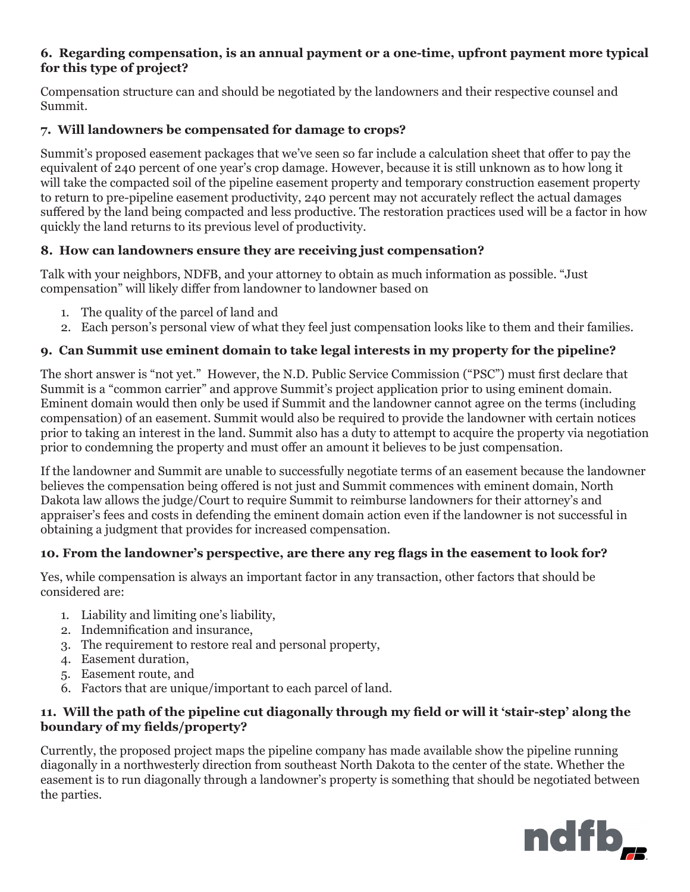#### **6. Regarding compensation, is an annual payment or a one-time, upfront payment more typical for this type of project?**

Compensation structure can and should be negotiated by the landowners and their respective counsel and Summit.

## **7. Will landowners be compensated for damage to crops?**

Summit's proposed easement packages that we've seen so far include a calculation sheet that offer to pay the equivalent of 240 percent of one year's crop damage. However, because it is still unknown as to how long it will take the compacted soil of the pipeline easement property and temporary construction easement property to return to pre-pipeline easement productivity, 240 percent may not accurately reflect the actual damages suffered by the land being compacted and less productive. The restoration practices used will be a factor in how quickly the land returns to its previous level of productivity.

## **8. How can landowners ensure they are receiving just compensation?**

Talk with your neighbors, NDFB, and your attorney to obtain as much information as possible. "Just compensation" will likely differ from landowner to landowner based on

- 1. The quality of the parcel of land and
- 2. Each person's personal view of what they feel just compensation looks like to them and their families.

## **9. Can Summit use eminent domain to take legal interests in my property for the pipeline?**

The short answer is "not yet." However, the N.D. Public Service Commission ("PSC") must first declare that Summit is a "common carrier" and approve Summit's project application prior to using eminent domain. Eminent domain would then only be used if Summit and the landowner cannot agree on the terms (including compensation) of an easement. Summit would also be required to provide the landowner with certain notices prior to taking an interest in the land. Summit also has a duty to attempt to acquire the property via negotiation prior to condemning the property and must offer an amount it believes to be just compensation.

If the landowner and Summit are unable to successfully negotiate terms of an easement because the landowner believes the compensation being offered is not just and Summit commences with eminent domain, North Dakota law allows the judge/Court to require Summit to reimburse landowners for their attorney's and appraiser's fees and costs in defending the eminent domain action even if the landowner is not successful in obtaining a judgment that provides for increased compensation.

### **10. From the landowner's perspective, are there any reg flags in the easement to look for?**

Yes, while compensation is always an important factor in any transaction, other factors that should be considered are:

- 1. Liability and limiting one's liability,
- 2. Indemnification and insurance,
- 3. The requirement to restore real and personal property,
- 4. Easement duration,
- 5. Easement route, and
- 6. Factors that are unique/important to each parcel of land.

### **11. Will the path of the pipeline cut diagonally through my field or will it 'stair-step' along the boundary of my fields/property?**

Currently, the proposed project maps the pipeline company has made available show the pipeline running diagonally in a northwesterly direction from southeast North Dakota to the center of the state. Whether the easement is to run diagonally through a landowner's property is something that should be negotiated between the parties.